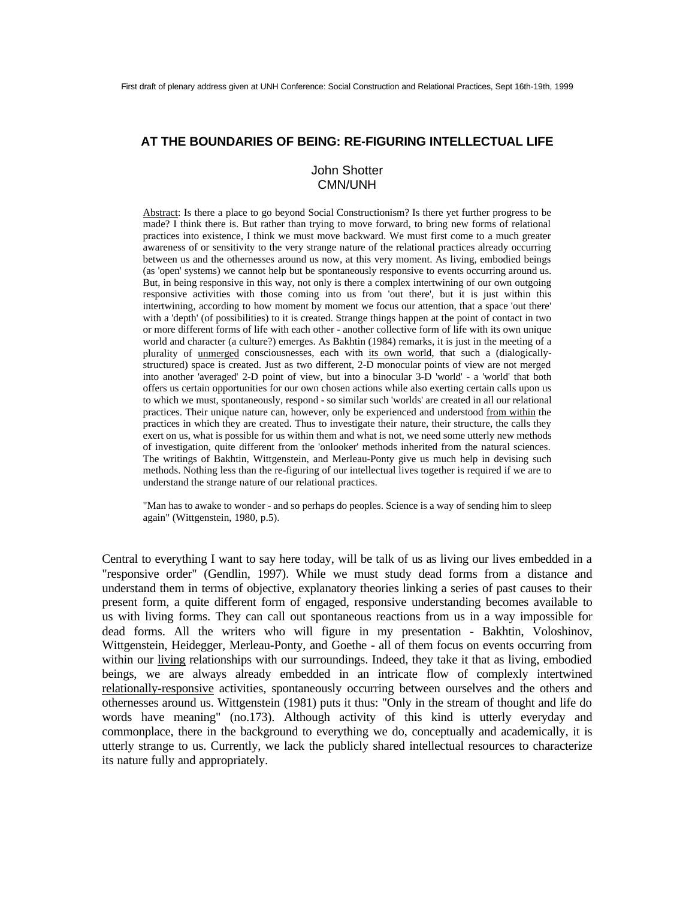## **AT THE BOUNDARIES OF BEING: RE-FIGURING INTELLECTUAL LIFE**

# John Shotter CMN/UNH

Abstract: Is there a place to go beyond Social Constructionism? Is there yet further progress to be made? I think there is. But rather than trying to move forward, to bring new forms of relational practices into existence, I think we must move backward. We must first come to a much greater awareness of or sensitivity to the very strange nature of the relational practices already occurring between us and the othernesses around us now, at this very moment. As living, embodied beings (as 'open' systems) we cannot help but be spontaneously responsive to events occurring around us. But, in being responsive in this way, not only is there a complex intertwining of our own outgoing responsive activities with those coming into us from 'out there', but it is just within this intertwining, according to how moment by moment we focus our attention, that a space 'out there' with a 'depth' (of possibilities) to it is created. Strange things happen at the point of contact in two or more different forms of life with each other - another collective form of life with its own unique world and character (a culture?) emerges. As Bakhtin (1984) remarks, it is just in the meeting of a plurality of unmerged consciousnesses, each with its own world, that such a (dialogicallystructured) space is created. Just as two different, 2-D monocular points of view are not merged into another 'averaged' 2-D point of view, but into a binocular 3-D 'world' - a 'world' that both offers us certain opportunities for our own chosen actions while also exerting certain calls upon us to which we must, spontaneously, respond - so similar such 'worlds' are created in all our relational practices. Their unique nature can, however, only be experienced and understood from within the practices in which they are created. Thus to investigate their nature, their structure, the calls they exert on us, what is possible for us within them and what is not, we need some utterly new methods of investigation, quite different from the 'onlooker' methods inherited from the natural sciences. The writings of Bakhtin, Wittgenstein, and Merleau-Ponty give us much help in devising such methods. Nothing less than the re-figuring of our intellectual lives together is required if we are to understand the strange nature of our relational practices.

"Man has to awake to wonder - and so perhaps do peoples. Science is a way of sending him to sleep again" (Wittgenstein, 1980, p.5).

Central to everything I want to say here today, will be talk of us as living our lives embedded in a "responsive order" (Gendlin, 1997). While we must study dead forms from a distance and understand them in terms of objective, explanatory theories linking a series of past causes to their present form, a quite different form of engaged, responsive understanding becomes available to us with living forms. They can call out spontaneous reactions from us in a way impossible for dead forms. All the writers who will figure in my presentation - Bakhtin, Voloshinov, Wittgenstein, Heidegger, Merleau-Ponty, and Goethe - all of them focus on events occurring from within our living relationships with our surroundings. Indeed, they take it that as living, embodied beings, we are always already embedded in an intricate flow of complexly intertwined relationally-responsive activities, spontaneously occurring between ourselves and the others and othernesses around us. Wittgenstein (1981) puts it thus: "Only in the stream of thought and life do words have meaning" (no.173). Although activity of this kind is utterly everyday and commonplace, there in the background to everything we do, conceptually and academically, it is utterly strange to us. Currently, we lack the publicly shared intellectual resources to characterize its nature fully and appropriately.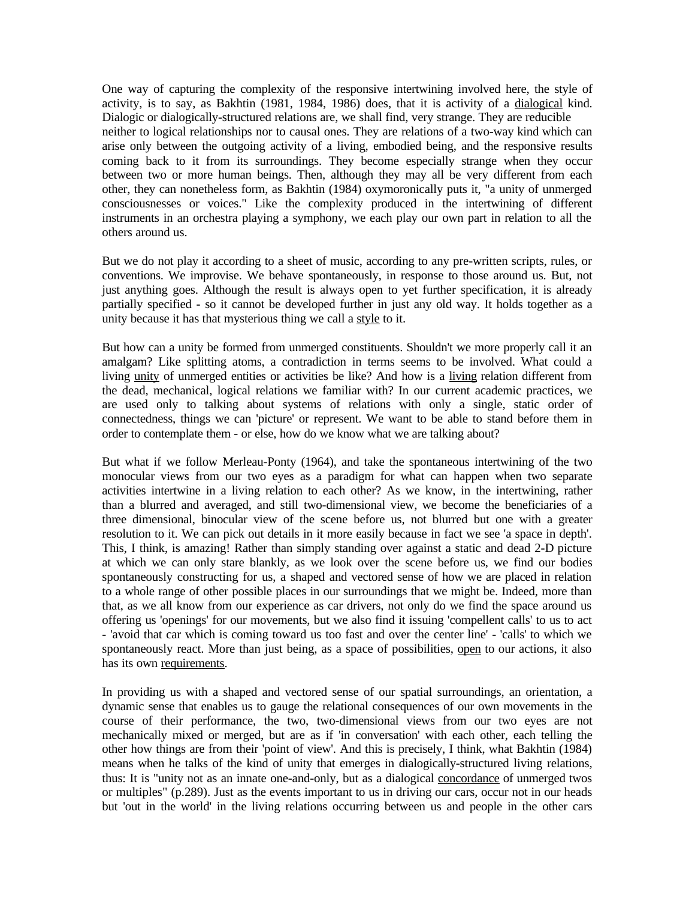One way of capturing the complexity of the responsive intertwining involved here, the style of activity, is to say, as Bakhtin (1981, 1984, 1986) does, that it is activity of a dialogical kind. Dialogic or dialogically-structured relations are, we shall find, very strange. They are reducible neither to logical relationships nor to causal ones. They are relations of a two-way kind which can arise only between the outgoing activity of a living, embodied being, and the responsive results coming back to it from its surroundings. They become especially strange when they occur between two or more human beings. Then, although they may all be very different from each other, they can nonetheless form, as Bakhtin (1984) oxymoronically puts it, "a unity of unmerged consciousnesses or voices." Like the complexity produced in the intertwining of different instruments in an orchestra playing a symphony, we each play our own part in relation to all the others around us.

But we do not play it according to a sheet of music, according to any pre-written scripts, rules, or conventions. We improvise. We behave spontaneously, in response to those around us. But, not just anything goes. Although the result is always open to yet further specification, it is already partially specified - so it cannot be developed further in just any old way. It holds together as a unity because it has that mysterious thing we call a style to it.

But how can a unity be formed from unmerged constituents. Shouldn't we more properly call it an amalgam? Like splitting atoms, a contradiction in terms seems to be involved. What could a living unity of unmerged entities or activities be like? And how is a living relation different from the dead, mechanical, logical relations we familiar with? In our current academic practices, we are used only to talking about systems of relations with only a single, static order of connectedness, things we can 'picture' or represent. We want to be able to stand before them in order to contemplate them - or else, how do we know what we are talking about?

But what if we follow Merleau-Ponty (1964), and take the spontaneous intertwining of the two monocular views from our two eyes as a paradigm for what can happen when two separate activities intertwine in a living relation to each other? As we know, in the intertwining, rather than a blurred and averaged, and still two-dimensional view, we become the beneficiaries of a three dimensional, binocular view of the scene before us, not blurred but one with a greater resolution to it. We can pick out details in it more easily because in fact we see 'a space in depth'. This, I think, is amazing! Rather than simply standing over against a static and dead 2-D picture at which we can only stare blankly, as we look over the scene before us, we find our bodies spontaneously constructing for us, a shaped and vectored sense of how we are placed in relation to a whole range of other possible places in our surroundings that we might be. Indeed, more than that, as we all know from our experience as car drivers, not only do we find the space around us offering us 'openings' for our movements, but we also find it issuing 'compellent calls' to us to act - 'avoid that car which is coming toward us too fast and over the center line' - 'calls' to which we spontaneously react. More than just being, as a space of possibilities, open to our actions, it also has its own requirements.

In providing us with a shaped and vectored sense of our spatial surroundings, an orientation, a dynamic sense that enables us to gauge the relational consequences of our own movements in the course of their performance, the two, two-dimensional views from our two eyes are not mechanically mixed or merged, but are as if 'in conversation' with each other, each telling the other how things are from their 'point of view'. And this is precisely, I think, what Bakhtin (1984) means when he talks of the kind of unity that emerges in dialogically-structured living relations, thus: It is "unity not as an innate one-and-only, but as a dialogical concordance of unmerged twos or multiples" (p.289). Just as the events important to us in driving our cars, occur not in our heads but 'out in the world' in the living relations occurring between us and people in the other cars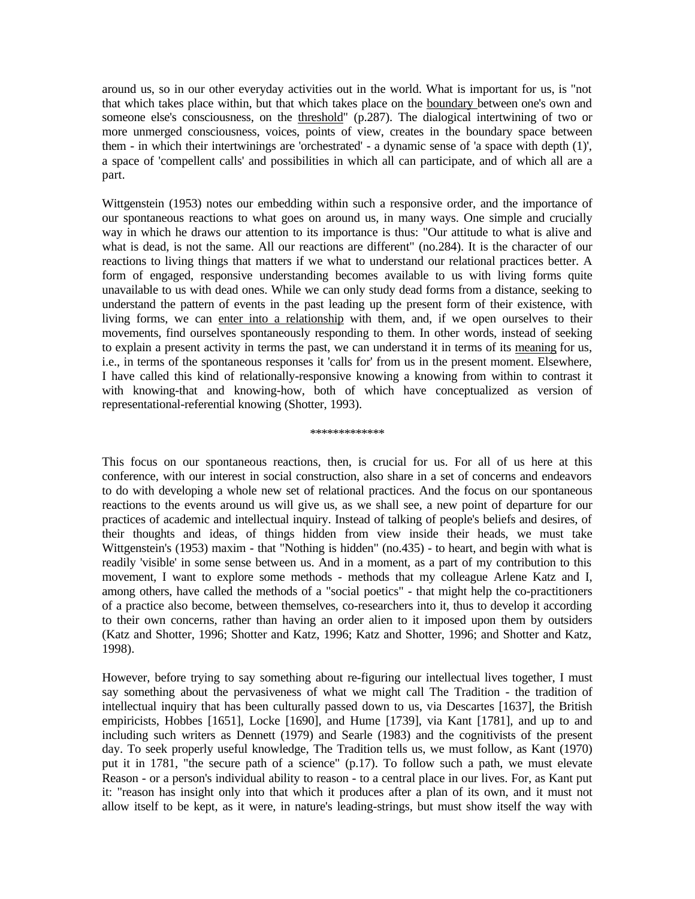around us, so in our other everyday activities out in the world. What is important for us, is "not that which takes place within, but that which takes place on the boundary between one's own and someone else's consciousness, on the threshold" (p.287). The dialogical intertwining of two or more unmerged consciousness, voices, points of view, creates in the boundary space between them - in which their intertwinings are 'orchestrated' - a dynamic sense of 'a space with depth (1)', a space of 'compellent calls' and possibilities in which all can participate, and of which all are a part.

Wittgenstein (1953) notes our embedding within such a responsive order, and the importance of our spontaneous reactions to what goes on around us, in many ways. One simple and crucially way in which he draws our attention to its importance is thus: "Our attitude to what is alive and what is dead, is not the same. All our reactions are different" (no.284). It is the character of our reactions to living things that matters if we what to understand our relational practices better. A form of engaged, responsive understanding becomes available to us with living forms quite unavailable to us with dead ones. While we can only study dead forms from a distance, seeking to understand the pattern of events in the past leading up the present form of their existence, with living forms, we can enter into a relationship with them, and, if we open ourselves to their movements, find ourselves spontaneously responding to them. In other words, instead of seeking to explain a present activity in terms the past, we can understand it in terms of its meaning for us, i.e., in terms of the spontaneous responses it 'calls for' from us in the present moment. Elsewhere, I have called this kind of relationally-responsive knowing a knowing from within to contrast it with knowing-that and knowing-how, both of which have conceptualized as version of representational-referential knowing (Shotter, 1993).

### \*\*\*\*\*\*\*\*\*\*\*\*\*

This focus on our spontaneous reactions, then, is crucial for us. For all of us here at this conference, with our interest in social construction, also share in a set of concerns and endeavors to do with developing a whole new set of relational practices. And the focus on our spontaneous reactions to the events around us will give us, as we shall see, a new point of departure for our practices of academic and intellectual inquiry. Instead of talking of people's beliefs and desires, of their thoughts and ideas, of things hidden from view inside their heads, we must take Wittgenstein's (1953) maxim - that "Nothing is hidden" (no.435) - to heart, and begin with what is readily 'visible' in some sense between us. And in a moment, as a part of my contribution to this movement, I want to explore some methods - methods that my colleague Arlene Katz and I, among others, have called the methods of a "social poetics" - that might help the co-practitioners of a practice also become, between themselves, co-researchers into it, thus to develop it according to their own concerns, rather than having an order alien to it imposed upon them by outsiders (Katz and Shotter, 1996; Shotter and Katz, 1996; Katz and Shotter, 1996; and Shotter and Katz, 1998).

However, before trying to say something about re-figuring our intellectual lives together, I must say something about the pervasiveness of what we might call The Tradition - the tradition of intellectual inquiry that has been culturally passed down to us, via Descartes [1637], the British empiricists, Hobbes [1651], Locke [1690], and Hume [1739], via Kant [1781], and up to and including such writers as Dennett (1979) and Searle (1983) and the cognitivists of the present day. To seek properly useful knowledge, The Tradition tells us, we must follow, as Kant (1970) put it in 1781, "the secure path of a science" (p.17). To follow such a path, we must elevate Reason - or a person's individual ability to reason - to a central place in our lives. For, as Kant put it: "reason has insight only into that which it produces after a plan of its own, and it must not allow itself to be kept, as it were, in nature's leading-strings, but must show itself the way with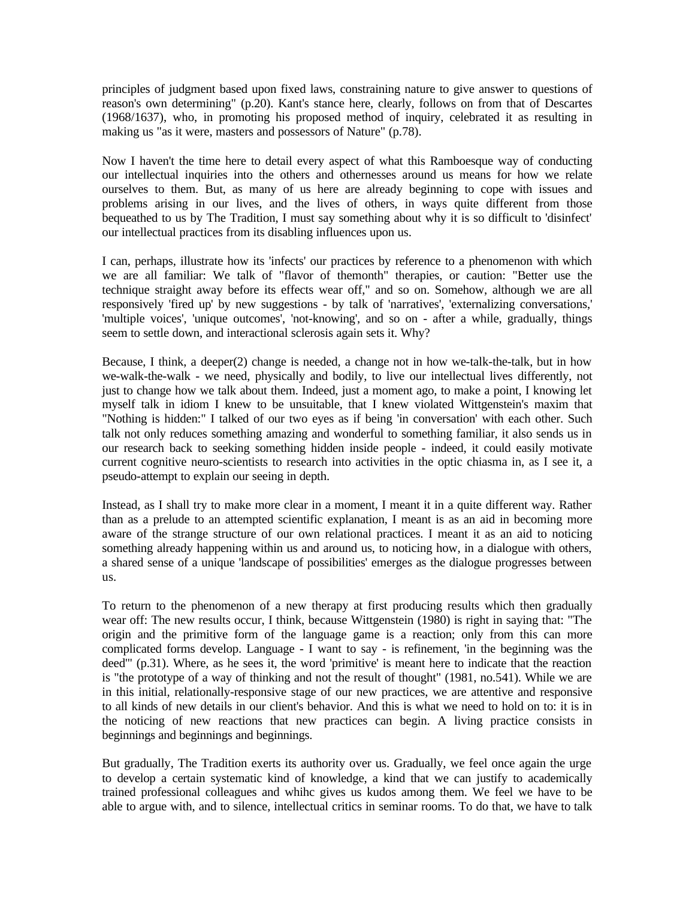principles of judgment based upon fixed laws, constraining nature to give answer to questions of reason's own determining" (p.20). Kant's stance here, clearly, follows on from that of Descartes (1968/1637), who, in promoting his proposed method of inquiry, celebrated it as resulting in making us "as it were, masters and possessors of Nature" (p.78).

Now I haven't the time here to detail every aspect of what this Ramboesque way of conducting our intellectual inquiries into the others and othernesses around us means for how we relate ourselves to them. But, as many of us here are already beginning to cope with issues and problems arising in our lives, and the lives of others, in ways quite different from those bequeathed to us by The Tradition, I must say something about why it is so difficult to 'disinfect' our intellectual practices from its disabling influences upon us.

I can, perhaps, illustrate how its 'infects' our practices by reference to a phenomenon with which we are all familiar: We talk of "flavor of themonth" therapies, or caution: "Better use the technique straight away before its effects wear off," and so on. Somehow, although we are all responsively 'fired up' by new suggestions - by talk of 'narratives', 'externalizing conversations,' 'multiple voices', 'unique outcomes', 'not-knowing', and so on - after a while, gradually, things seem to settle down, and interactional sclerosis again sets it. Why?

Because, I think, a deeper(2) change is needed, a change not in how we-talk-the-talk, but in how we-walk-the-walk - we need, physically and bodily, to live our intellectual lives differently, not just to change how we talk about them. Indeed, just a moment ago, to make a point, I knowing let myself talk in idiom I knew to be unsuitable, that I knew violated Wittgenstein's maxim that "Nothing is hidden:" I talked of our two eyes as if being 'in conversation' with each other. Such talk not only reduces something amazing and wonderful to something familiar, it also sends us in our research back to seeking something hidden inside people - indeed, it could easily motivate current cognitive neuro-scientists to research into activities in the optic chiasma in, as I see it, a pseudo-attempt to explain our seeing in depth.

Instead, as I shall try to make more clear in a moment, I meant it in a quite different way. Rather than as a prelude to an attempted scientific explanation, I meant is as an aid in becoming more aware of the strange structure of our own relational practices. I meant it as an aid to noticing something already happening within us and around us, to noticing how, in a dialogue with others, a shared sense of a unique 'landscape of possibilities' emerges as the dialogue progresses between us.

To return to the phenomenon of a new therapy at first producing results which then gradually wear off: The new results occur, I think, because Wittgenstein (1980) is right in saying that: "The origin and the primitive form of the language game is a reaction; only from this can more complicated forms develop. Language - I want to say - is refinement, 'in the beginning was the deed'" (p.31). Where, as he sees it, the word 'primitive' is meant here to indicate that the reaction is "the prototype of a way of thinking and not the result of thought" (1981, no.541). While we are in this initial, relationally-responsive stage of our new practices, we are attentive and responsive to all kinds of new details in our client's behavior. And this is what we need to hold on to: it is in the noticing of new reactions that new practices can begin. A living practice consists in beginnings and beginnings and beginnings.

But gradually, The Tradition exerts its authority over us. Gradually, we feel once again the urge to develop a certain systematic kind of knowledge, a kind that we can justify to academically trained professional colleagues and whihc gives us kudos among them. We feel we have to be able to argue with, and to silence, intellectual critics in seminar rooms. To do that, we have to talk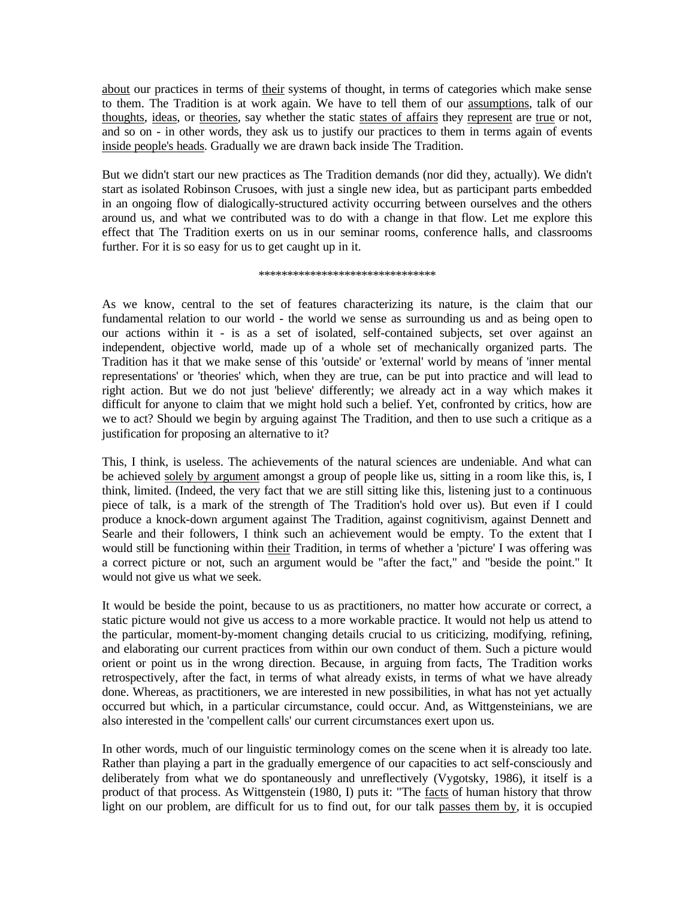about our practices in terms of their systems of thought, in terms of categories which make sense to them. The Tradition is at work again. We have to tell them of our assumptions, talk of our thoughts, ideas, or theories, say whether the static states of affairs they represent are true or not, and so on - in other words, they ask us to justify our practices to them in terms again of events inside people's heads. Gradually we are drawn back inside The Tradition.

But we didn't start our new practices as The Tradition demands (nor did they, actually). We didn't start as isolated Robinson Crusoes, with just a single new idea, but as participant parts embedded in an ongoing flow of dialogically-structured activity occurring between ourselves and the others around us, and what we contributed was to do with a change in that flow. Let me explore this effect that The Tradition exerts on us in our seminar rooms, conference halls, and classrooms further. For it is so easy for us to get caught up in it.

\*\*\*\*\*\*\*\*\*\*\*\*\*\*\*\*\*\*\*\*\*\*\*\*\*\*\*\*\*\*\*

As we know, central to the set of features characterizing its nature, is the claim that our fundamental relation to our world - the world we sense as surrounding us and as being open to our actions within it - is as a set of isolated, self-contained subjects, set over against an independent, objective world, made up of a whole set of mechanically organized parts. The Tradition has it that we make sense of this 'outside' or 'external' world by means of 'inner mental representations' or 'theories' which, when they are true, can be put into practice and will lead to right action. But we do not just 'believe' differently; we already act in a way which makes it difficult for anyone to claim that we might hold such a belief. Yet, confronted by critics, how are we to act? Should we begin by arguing against The Tradition, and then to use such a critique as a justification for proposing an alternative to it?

This, I think, is useless. The achievements of the natural sciences are undeniable. And what can be achieved solely by argument amongst a group of people like us, sitting in a room like this, is, I think, limited. (Indeed, the very fact that we are still sitting like this, listening just to a continuous piece of talk, is a mark of the strength of The Tradition's hold over us). But even if I could produce a knock-down argument against The Tradition, against cognitivism, against Dennett and Searle and their followers, I think such an achievement would be empty. To the extent that I would still be functioning within their Tradition, in terms of whether a 'picture' I was offering was a correct picture or not, such an argument would be "after the fact," and "beside the point." It would not give us what we seek.

It would be beside the point, because to us as practitioners, no matter how accurate or correct, a static picture would not give us access to a more workable practice. It would not help us attend to the particular, moment-by-moment changing details crucial to us criticizing, modifying, refining, and elaborating our current practices from within our own conduct of them. Such a picture would orient or point us in the wrong direction. Because, in arguing from facts, The Tradition works retrospectively, after the fact, in terms of what already exists, in terms of what we have already done. Whereas, as practitioners, we are interested in new possibilities, in what has not yet actually occurred but which, in a particular circumstance, could occur. And, as Wittgensteinians, we are also interested in the 'compellent calls' our current circumstances exert upon us.

In other words, much of our linguistic terminology comes on the scene when it is already too late. Rather than playing a part in the gradually emergence of our capacities to act self-consciously and deliberately from what we do spontaneously and unreflectively (Vygotsky, 1986), it itself is a product of that process. As Wittgenstein (1980, I) puts it: "The facts of human history that throw light on our problem, are difficult for us to find out, for our talk passes them by, it is occupied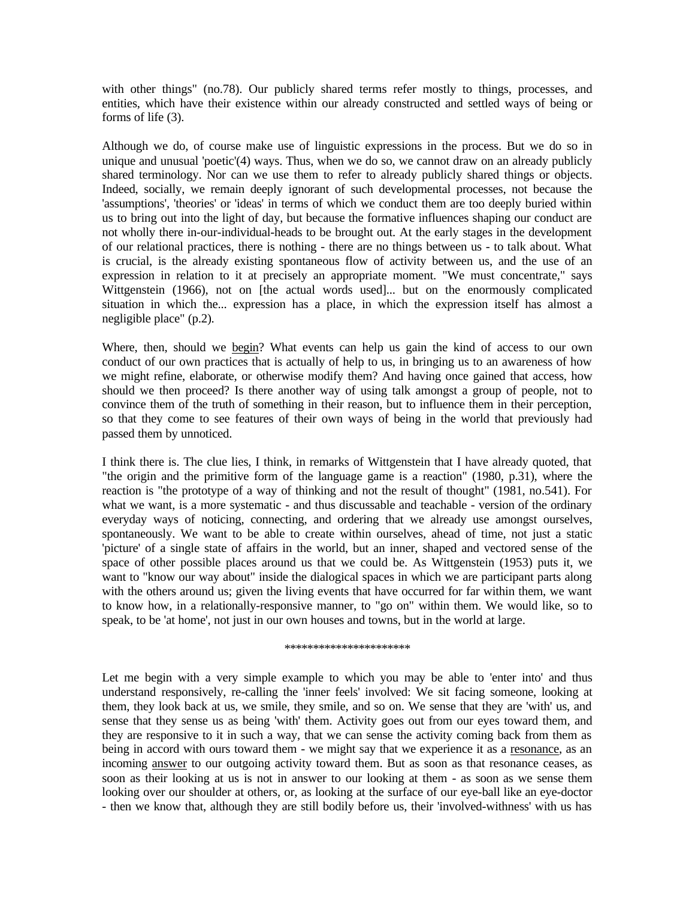with other things" (no.78). Our publicly shared terms refer mostly to things, processes, and entities, which have their existence within our already constructed and settled ways of being or forms of life (3).

Although we do, of course make use of linguistic expressions in the process. But we do so in unique and unusual 'poetic'(4) ways. Thus, when we do so, we cannot draw on an already publicly shared terminology. Nor can we use them to refer to already publicly shared things or objects. Indeed, socially, we remain deeply ignorant of such developmental processes, not because the 'assumptions', 'theories' or 'ideas' in terms of which we conduct them are too deeply buried within us to bring out into the light of day, but because the formative influences shaping our conduct are not wholly there in-our-individual-heads to be brought out. At the early stages in the development of our relational practices, there is nothing - there are no things between us - to talk about. What is crucial, is the already existing spontaneous flow of activity between us, and the use of an expression in relation to it at precisely an appropriate moment. "We must concentrate," says Wittgenstein (1966), not on [the actual words used]... but on the enormously complicated situation in which the... expression has a place, in which the expression itself has almost a negligible place" (p.2).

Where, then, should we begin? What events can help us gain the kind of access to our own conduct of our own practices that is actually of help to us, in bringing us to an awareness of how we might refine, elaborate, or otherwise modify them? And having once gained that access, how should we then proceed? Is there another way of using talk amongst a group of people, not to convince them of the truth of something in their reason, but to influence them in their perception, so that they come to see features of their own ways of being in the world that previously had passed them by unnoticed.

I think there is. The clue lies, I think, in remarks of Wittgenstein that I have already quoted, that "the origin and the primitive form of the language game is a reaction" (1980, p.31), where the reaction is "the prototype of a way of thinking and not the result of thought" (1981, no.541). For what we want, is a more systematic - and thus discussable and teachable - version of the ordinary everyday ways of noticing, connecting, and ordering that we already use amongst ourselves, spontaneously. We want to be able to create within ourselves, ahead of time, not just a static 'picture' of a single state of affairs in the world, but an inner, shaped and vectored sense of the space of other possible places around us that we could be. As Wittgenstein (1953) puts it, we want to "know our way about" inside the dialogical spaces in which we are participant parts along with the others around us; given the living events that have occurred for far within them, we want to know how, in a relationally-responsive manner, to "go on" within them. We would like, so to speak, to be 'at home', not just in our own houses and towns, but in the world at large.

#### \*\*\*\*\*\*\*\*\*\*\*\*\*\*\*\*\*\*\*\*\*\*

Let me begin with a very simple example to which you may be able to 'enter into' and thus understand responsively, re-calling the 'inner feels' involved: We sit facing someone, looking at them, they look back at us, we smile, they smile, and so on. We sense that they are 'with' us, and sense that they sense us as being 'with' them. Activity goes out from our eyes toward them, and they are responsive to it in such a way, that we can sense the activity coming back from them as being in accord with ours toward them - we might say that we experience it as a resonance, as an incoming answer to our outgoing activity toward them. But as soon as that resonance ceases, as soon as their looking at us is not in answer to our looking at them - as soon as we sense them looking over our shoulder at others, or, as looking at the surface of our eye-ball like an eye-doctor - then we know that, although they are still bodily before us, their 'involved-withness' with us has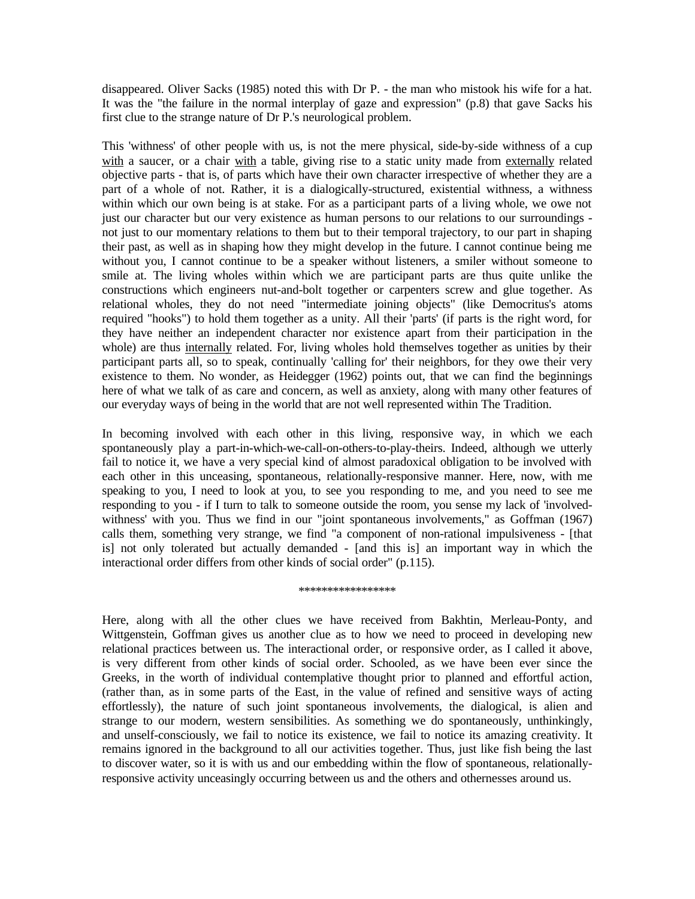disappeared. Oliver Sacks (1985) noted this with Dr P. - the man who mistook his wife for a hat. It was the "the failure in the normal interplay of gaze and expression" (p.8) that gave Sacks his first clue to the strange nature of Dr P.'s neurological problem.

This 'withness' of other people with us, is not the mere physical, side-by-side withness of a cup with a saucer, or a chair with a table, giving rise to a static unity made from externally related objective parts - that is, of parts which have their own character irrespective of whether they are a part of a whole of not. Rather, it is a dialogically-structured, existential withness, a withness within which our own being is at stake. For as a participant parts of a living whole, we owe not just our character but our very existence as human persons to our relations to our surroundings not just to our momentary relations to them but to their temporal trajectory, to our part in shaping their past, as well as in shaping how they might develop in the future. I cannot continue being me without you, I cannot continue to be a speaker without listeners, a smiler without someone to smile at. The living wholes within which we are participant parts are thus quite unlike the constructions which engineers nut-and-bolt together or carpenters screw and glue together. As relational wholes, they do not need "intermediate joining objects" (like Democritus's atoms required "hooks") to hold them together as a unity. All their 'parts' (if parts is the right word, for they have neither an independent character nor existence apart from their participation in the whole) are thus internally related. For, living wholes hold themselves together as unities by their participant parts all, so to speak, continually 'calling for' their neighbors, for they owe their very existence to them. No wonder, as Heidegger (1962) points out, that we can find the beginnings here of what we talk of as care and concern, as well as anxiety, along with many other features of our everyday ways of being in the world that are not well represented within The Tradition.

In becoming involved with each other in this living, responsive way, in which we each spontaneously play a part-in-which-we-call-on-others-to-play-theirs. Indeed, although we utterly fail to notice it, we have a very special kind of almost paradoxical obligation to be involved with each other in this unceasing, spontaneous, relationally-responsive manner. Here, now, with me speaking to you, I need to look at you, to see you responding to me, and you need to see me responding to you - if I turn to talk to someone outside the room, you sense my lack of 'involvedwithness' with you. Thus we find in our "joint spontaneous involvements," as Goffman (1967) calls them, something very strange, we find "a component of non-rational impulsiveness - [that is] not only tolerated but actually demanded - [and this is] an important way in which the interactional order differs from other kinds of social order" (p.115).

#### \*\*\*\*\*\*\*\*\*\*\*\*\*\*\*

Here, along with all the other clues we have received from Bakhtin, Merleau-Ponty, and Wittgenstein, Goffman gives us another clue as to how we need to proceed in developing new relational practices between us. The interactional order, or responsive order, as I called it above, is very different from other kinds of social order. Schooled, as we have been ever since the Greeks, in the worth of individual contemplative thought prior to planned and effortful action, (rather than, as in some parts of the East, in the value of refined and sensitive ways of acting effortlessly), the nature of such joint spontaneous involvements, the dialogical, is alien and strange to our modern, western sensibilities. As something we do spontaneously, unthinkingly, and unself-consciously, we fail to notice its existence, we fail to notice its amazing creativity. It remains ignored in the background to all our activities together. Thus, just like fish being the last to discover water, so it is with us and our embedding within the flow of spontaneous, relationallyresponsive activity unceasingly occurring between us and the others and othernesses around us.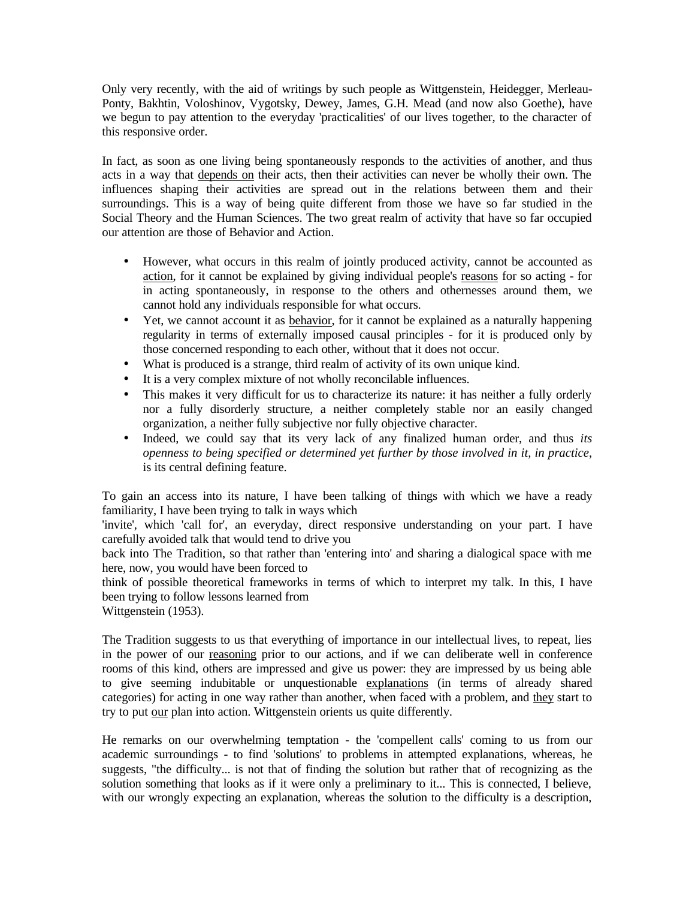Only very recently, with the aid of writings by such people as Wittgenstein, Heidegger, Merleau-Ponty, Bakhtin, Voloshinov, Vygotsky, Dewey, James, G.H. Mead (and now also Goethe), have we begun to pay attention to the everyday 'practicalities' of our lives together, to the character of this responsive order.

In fact, as soon as one living being spontaneously responds to the activities of another, and thus acts in a way that depends on their acts, then their activities can never be wholly their own. The influences shaping their activities are spread out in the relations between them and their surroundings. This is a way of being quite different from those we have so far studied in the Social Theory and the Human Sciences. The two great realm of activity that have so far occupied our attention are those of Behavior and Action.

- However, what occurs in this realm of jointly produced activity, cannot be accounted as action, for it cannot be explained by giving individual people's reasons for so acting - for in acting spontaneously, in response to the others and othernesses around them, we cannot hold any individuals responsible for what occurs.
- Yet, we cannot account it as behavior, for it cannot be explained as a naturally happening regularity in terms of externally imposed causal principles - for it is produced only by those concerned responding to each other, without that it does not occur.
- What is produced is a strange, third realm of activity of its own unique kind.
- It is a very complex mixture of not wholly reconcilable influences.
- This makes it very difficult for us to characterize its nature: it has neither a fully orderly nor a fully disorderly structure, a neither completely stable nor an easily changed organization, a neither fully subjective nor fully objective character.
- Indeed, we could say that its very lack of any finalized human order, and thus *its openness to being specified or determined yet further by those involved in it, in practice*, is its central defining feature.

To gain an access into its nature, I have been talking of things with which we have a ready familiarity, I have been trying to talk in ways which

'invite', which 'call for', an everyday, direct responsive understanding on your part. I have carefully avoided talk that would tend to drive you

back into The Tradition, so that rather than 'entering into' and sharing a dialogical space with me here, now, you would have been forced to

think of possible theoretical frameworks in terms of which to interpret my talk. In this, I have been trying to follow lessons learned from

Wittgenstein (1953).

The Tradition suggests to us that everything of importance in our intellectual lives, to repeat, lies in the power of our reasoning prior to our actions, and if we can deliberate well in conference rooms of this kind, others are impressed and give us power: they are impressed by us being able to give seeming indubitable or unquestionable explanations (in terms of already shared categories) for acting in one way rather than another, when faced with a problem, and they start to try to put our plan into action. Wittgenstein orients us quite differently.

He remarks on our overwhelming temptation - the 'compellent calls' coming to us from our academic surroundings - to find 'solutions' to problems in attempted explanations, whereas, he suggests, "the difficulty... is not that of finding the solution but rather that of recognizing as the solution something that looks as if it were only a preliminary to it... This is connected, I believe, with our wrongly expecting an explanation, whereas the solution to the difficulty is a description,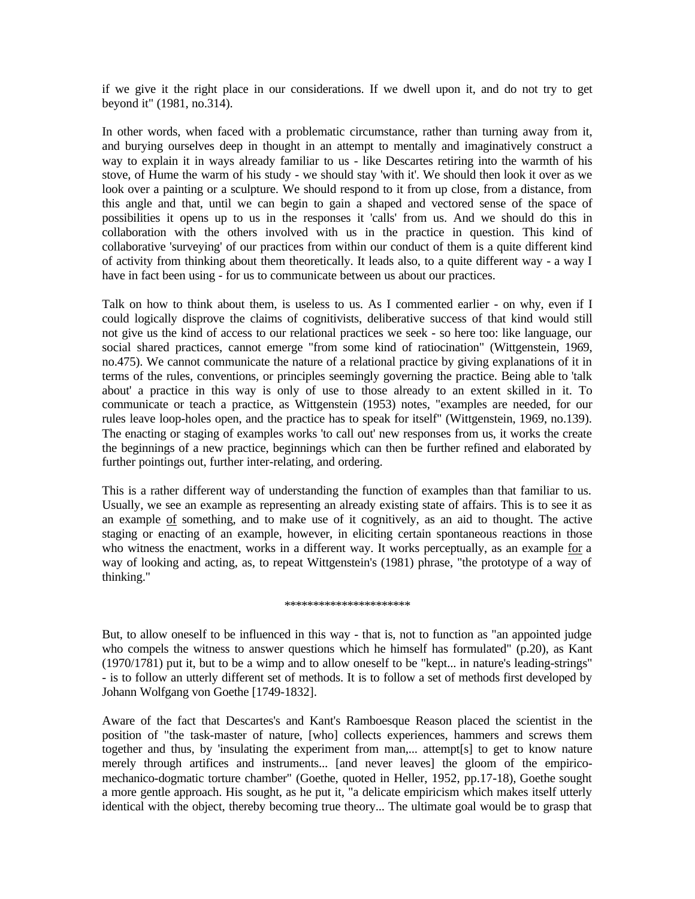if we give it the right place in our considerations. If we dwell upon it, and do not try to get beyond it" (1981, no.314).

In other words, when faced with a problematic circumstance, rather than turning away from it, and burying ourselves deep in thought in an attempt to mentally and imaginatively construct a way to explain it in ways already familiar to us - like Descartes retiring into the warmth of his stove, of Hume the warm of his study - we should stay 'with it'. We should then look it over as we look over a painting or a sculpture. We should respond to it from up close, from a distance, from this angle and that, until we can begin to gain a shaped and vectored sense of the space of possibilities it opens up to us in the responses it 'calls' from us. And we should do this in collaboration with the others involved with us in the practice in question. This kind of collaborative 'surveying' of our practices from within our conduct of them is a quite different kind of activity from thinking about them theoretically. It leads also, to a quite different way - a way I have in fact been using - for us to communicate between us about our practices.

Talk on how to think about them, is useless to us. As I commented earlier - on why, even if I could logically disprove the claims of cognitivists, deliberative success of that kind would still not give us the kind of access to our relational practices we seek - so here too: like language, our social shared practices, cannot emerge "from some kind of ratiocination" (Wittgenstein, 1969, no.475). We cannot communicate the nature of a relational practice by giving explanations of it in terms of the rules, conventions, or principles seemingly governing the practice. Being able to 'talk about' a practice in this way is only of use to those already to an extent skilled in it. To communicate or teach a practice, as Wittgenstein (1953) notes, "examples are needed, for our rules leave loop-holes open, and the practice has to speak for itself" (Wittgenstein, 1969, no.139). The enacting or staging of examples works 'to call out' new responses from us, it works the create the beginnings of a new practice, beginnings which can then be further refined and elaborated by further pointings out, further inter-relating, and ordering.

This is a rather different way of understanding the function of examples than that familiar to us. Usually, we see an example as representing an already existing state of affairs. This is to see it as an example of something, and to make use of it cognitively, as an aid to thought. The active staging or enacting of an example, however, in eliciting certain spontaneous reactions in those who witness the enactment, works in a different way. It works perceptually, as an example for a way of looking and acting, as, to repeat Wittgenstein's (1981) phrase, "the prototype of a way of thinking."

#### \*\*\*\*\*\*\*\*\*\*\*\*\*\*\*\*\*\*\*\*\*\*

But, to allow oneself to be influenced in this way - that is, not to function as "an appointed judge who compels the witness to answer questions which he himself has formulated" (p.20), as Kant (1970/1781) put it, but to be a wimp and to allow oneself to be "kept... in nature's leading-strings" - is to follow an utterly different set of methods. It is to follow a set of methods first developed by Johann Wolfgang von Goethe [1749-1832].

Aware of the fact that Descartes's and Kant's Ramboesque Reason placed the scientist in the position of "the task-master of nature, [who] collects experiences, hammers and screws them together and thus, by 'insulating the experiment from man,... attempt[s] to get to know nature merely through artifices and instruments... [and never leaves] the gloom of the empiricomechanico-dogmatic torture chamber" (Goethe, quoted in Heller, 1952, pp.17-18), Goethe sought a more gentle approach. His sought, as he put it, "a delicate empiricism which makes itself utterly identical with the object, thereby becoming true theory... The ultimate goal would be to grasp that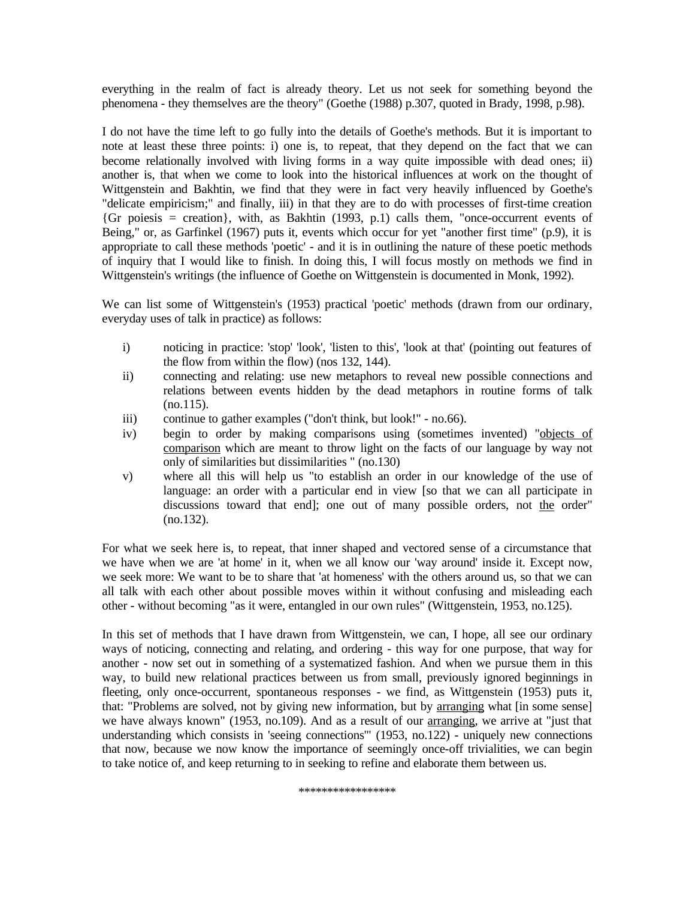everything in the realm of fact is already theory. Let us not seek for something beyond the phenomena - they themselves are the theory" (Goethe (1988) p.307, quoted in Brady, 1998, p.98).

I do not have the time left to go fully into the details of Goethe's methods. But it is important to note at least these three points: i) one is, to repeat, that they depend on the fact that we can become relationally involved with living forms in a way quite impossible with dead ones; ii) another is, that when we come to look into the historical influences at work on the thought of Wittgenstein and Bakhtin, we find that they were in fact very heavily influenced by Goethe's "delicate empiricism;" and finally, iii) in that they are to do with processes of first-time creation  ${Gr}$  poiesis = creation}, with, as Bakhtin (1993, p.1) calls them, "once-occurrent events of Being," or, as Garfinkel (1967) puts it, events which occur for yet "another first time" (p.9), it is appropriate to call these methods 'poetic' - and it is in outlining the nature of these poetic methods of inquiry that I would like to finish. In doing this, I will focus mostly on methods we find in Wittgenstein's writings (the influence of Goethe on Wittgenstein is documented in Monk, 1992).

We can list some of Wittgenstein's (1953) practical 'poetic' methods (drawn from our ordinary, everyday uses of talk in practice) as follows:

- i) noticing in practice: 'stop' 'look', 'listen to this', 'look at that' (pointing out features of the flow from within the flow) (nos 132, 144).
- ii) connecting and relating: use new metaphors to reveal new possible connections and relations between events hidden by the dead metaphors in routine forms of talk  $(no.115).$
- iii) continue to gather examples ("don't think, but look!" no.66).
- iv) begin to order by making comparisons using (sometimes invented) "objects of comparison which are meant to throw light on the facts of our language by way not only of similarities but dissimilarities " (no.130)
- v) where all this will help us "to establish an order in our knowledge of the use of language: an order with a particular end in view [so that we can all participate in discussions toward that end]; one out of many possible orders, not the order" (no.132).

For what we seek here is, to repeat, that inner shaped and vectored sense of a circumstance that we have when we are 'at home' in it, when we all know our 'way around' inside it. Except now, we seek more: We want to be to share that 'at homeness' with the others around us, so that we can all talk with each other about possible moves within it without confusing and misleading each other - without becoming "as it were, entangled in our own rules" (Wittgenstein, 1953, no.125).

In this set of methods that I have drawn from Wittgenstein, we can, I hope, all see our ordinary ways of noticing, connecting and relating, and ordering - this way for one purpose, that way for another - now set out in something of a systematized fashion. And when we pursue them in this way, to build new relational practices between us from small, previously ignored beginnings in fleeting, only once-occurrent, spontaneous responses - we find, as Wittgenstein (1953) puts it, that: "Problems are solved, not by giving new information, but by arranging what [in some sense] we have always known" (1953, no.109). And as a result of our arranging, we arrive at "just that understanding which consists in 'seeing connections'" (1953, no.122) - uniquely new connections that now, because we now know the importance of seemingly once-off trivialities, we can begin to take notice of, and keep returning to in seeking to refine and elaborate them between us.

\*\*\*\*\*\*\*\*\*\*\*\*\*\*\*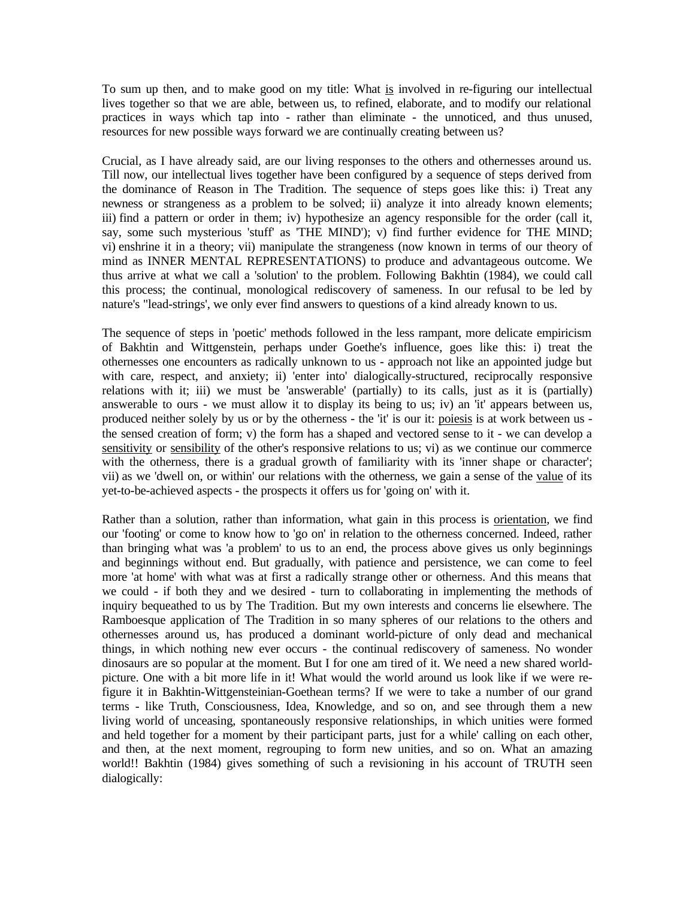To sum up then, and to make good on my title: What is involved in re-figuring our intellectual lives together so that we are able, between us, to refined, elaborate, and to modify our relational practices in ways which tap into - rather than eliminate - the unnoticed, and thus unused, resources for new possible ways forward we are continually creating between us?

Crucial, as I have already said, are our living responses to the others and othernesses around us. Till now, our intellectual lives together have been configured by a sequence of steps derived from the dominance of Reason in The Tradition. The sequence of steps goes like this: i) Treat any newness or strangeness as a problem to be solved; ii) analyze it into already known elements; iii) find a pattern or order in them; iv) hypothesize an agency responsible for the order (call it, say, some such mysterious 'stuff' as 'THE MIND'); v) find further evidence for THE MIND; vi) enshrine it in a theory; vii) manipulate the strangeness (now known in terms of our theory of mind as INNER MENTAL REPRESENTATIONS) to produce and advantageous outcome. We thus arrive at what we call a 'solution' to the problem. Following Bakhtin (1984), we could call this process; the continual, monological rediscovery of sameness. In our refusal to be led by nature's "lead-strings', we only ever find answers to questions of a kind already known to us.

The sequence of steps in 'poetic' methods followed in the less rampant, more delicate empiricism of Bakhtin and Wittgenstein, perhaps under Goethe's influence, goes like this: i) treat the othernesses one encounters as radically unknown to us - approach not like an appointed judge but with care, respect, and anxiety; ii) 'enter into' dialogically-structured, reciprocally responsive relations with it; iii) we must be 'answerable' (partially) to its calls, just as it is (partially) answerable to ours - we must allow it to display its being to us; iv) an 'it' appears between us, produced neither solely by us or by the otherness - the 'it' is our it: poiesis is at work between us the sensed creation of form; v) the form has a shaped and vectored sense to it - we can develop a sensitivity or sensibility of the other's responsive relations to us; vi) as we continue our commerce with the otherness, there is a gradual growth of familiarity with its 'inner shape or character'; vii) as we 'dwell on, or within' our relations with the otherness, we gain a sense of the value of its yet-to-be-achieved aspects - the prospects it offers us for 'going on' with it.

Rather than a solution, rather than information, what gain in this process is orientation, we find our 'footing' or come to know how to 'go on' in relation to the otherness concerned. Indeed, rather than bringing what was 'a problem' to us to an end, the process above gives us only beginnings and beginnings without end. But gradually, with patience and persistence, we can come to feel more 'at home' with what was at first a radically strange other or otherness. And this means that we could - if both they and we desired - turn to collaborating in implementing the methods of inquiry bequeathed to us by The Tradition. But my own interests and concerns lie elsewhere. The Ramboesque application of The Tradition in so many spheres of our relations to the others and othernesses around us, has produced a dominant world-picture of only dead and mechanical things, in which nothing new ever occurs - the continual rediscovery of sameness. No wonder dinosaurs are so popular at the moment. But I for one am tired of it. We need a new shared worldpicture. One with a bit more life in it! What would the world around us look like if we were refigure it in Bakhtin-Wittgensteinian-Goethean terms? If we were to take a number of our grand terms - like Truth, Consciousness, Idea, Knowledge, and so on, and see through them a new living world of unceasing, spontaneously responsive relationships, in which unities were formed and held together for a moment by their participant parts, just for a while' calling on each other, and then, at the next moment, regrouping to form new unities, and so on. What an amazing world!! Bakhtin (1984) gives something of such a revisioning in his account of TRUTH seen dialogically: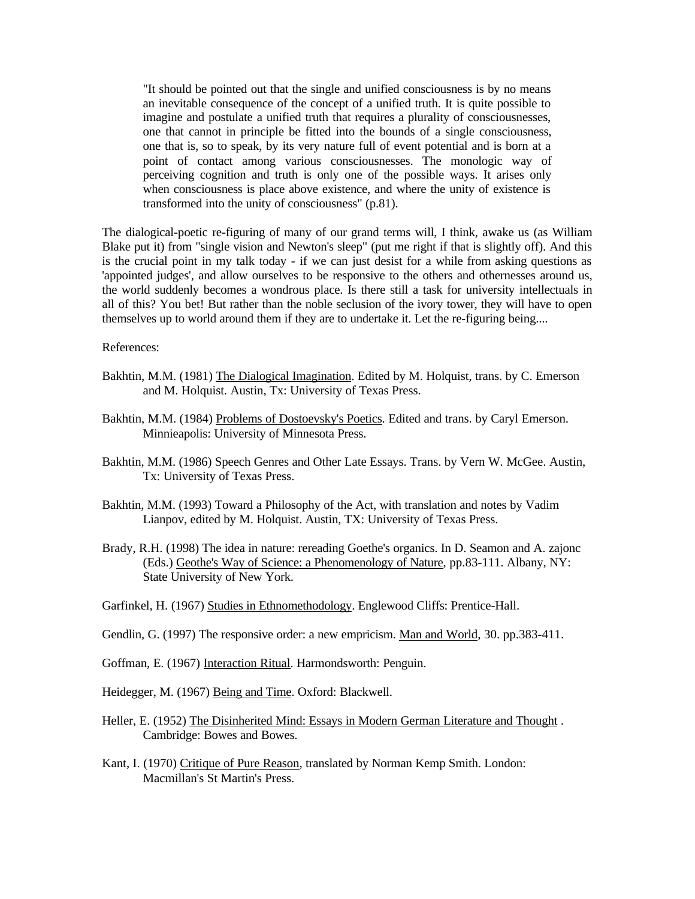"It should be pointed out that the single and unified consciousness is by no means an inevitable consequence of the concept of a unified truth. It is quite possible to imagine and postulate a unified truth that requires a plurality of consciousnesses, one that cannot in principle be fitted into the bounds of a single consciousness, one that is, so to speak, by its very nature full of event potential and is born at a point of contact among various consciousnesses. The monologic way of perceiving cognition and truth is only one of the possible ways. It arises only when consciousness is place above existence, and where the unity of existence is transformed into the unity of consciousness" (p.81).

The dialogical-poetic re-figuring of many of our grand terms will, I think, awake us (as William Blake put it) from "single vision and Newton's sleep" (put me right if that is slightly off). And this is the crucial point in my talk today - if we can just desist for a while from asking questions as 'appointed judges', and allow ourselves to be responsive to the others and othernesses around us, the world suddenly becomes a wondrous place. Is there still a task for university intellectuals in all of this? You bet! But rather than the noble seclusion of the ivory tower, they will have to open themselves up to world around them if they are to undertake it. Let the re-figuring being....

References:

- Bakhtin, M.M. (1981) The Dialogical Imagination. Edited by M. Holquist, trans. by C. Emerson and M. Holquist. Austin, Tx: University of Texas Press.
- Bakhtin, M.M. (1984) Problems of Dostoevsky's Poetics. Edited and trans. by Caryl Emerson. Minnieapolis: University of Minnesota Press.
- Bakhtin, M.M. (1986) Speech Genres and Other Late Essays. Trans. by Vern W. McGee. Austin, Tx: University of Texas Press.
- Bakhtin, M.M. (1993) Toward a Philosophy of the Act, with translation and notes by Vadim Lianpov, edited by M. Holquist. Austin, TX: University of Texas Press.
- Brady, R.H. (1998) The idea in nature: rereading Goethe's organics. In D. Seamon and A. zajonc (Eds.) Geothe's Way of Science: a Phenomenology of Nature, pp.83-111. Albany, NY: State University of New York.
- Garfinkel, H. (1967) Studies in Ethnomethodology. Englewood Cliffs: Prentice-Hall.
- Gendlin, G. (1997) The responsive order: a new empricism. Man and World, 30. pp.383-411.
- Goffman, E. (1967) Interaction Ritual. Harmondsworth: Penguin.
- Heidegger, M. (1967) Being and Time. Oxford: Blackwell.
- Heller, E. (1952) The Disinherited Mind: Essays in Modern German Literature and Thought . Cambridge: Bowes and Bowes.
- Kant, I. (1970) Critique of Pure Reason, translated by Norman Kemp Smith. London: Macmillan's St Martin's Press.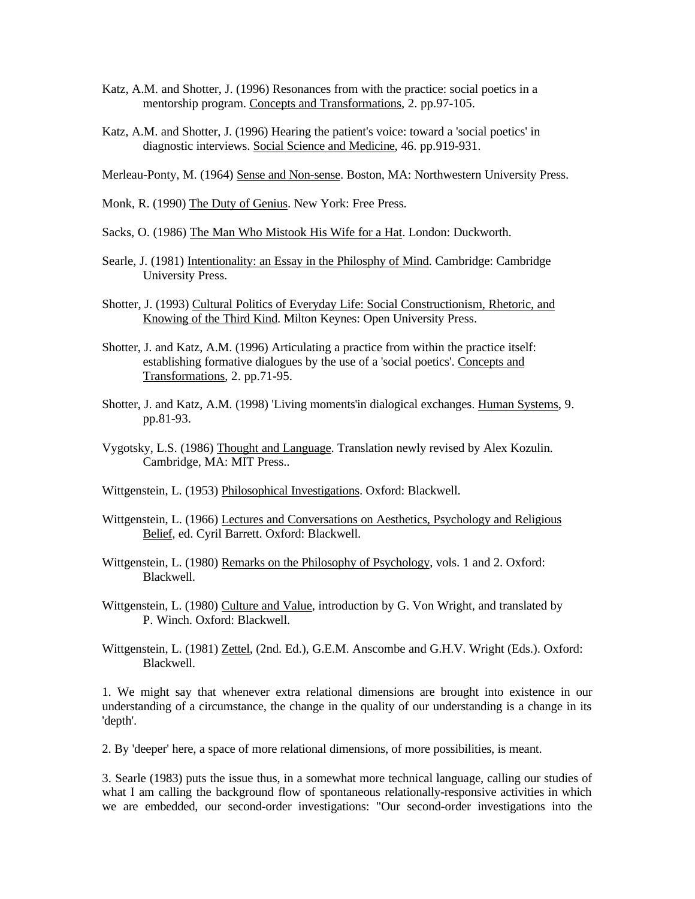- Katz, A.M. and Shotter, J. (1996) Resonances from with the practice: social poetics in a mentorship program. Concepts and Transformations, 2. pp.97-105.
- Katz, A.M. and Shotter, J. (1996) Hearing the patient's voice: toward a 'social poetics' in diagnostic interviews. Social Science and Medicine, 46. pp.919-931.

Merleau-Ponty, M. (1964) Sense and Non-sense. Boston, MA: Northwestern University Press.

Monk, R. (1990) The Duty of Genius. New York: Free Press.

Sacks, O. (1986) The Man Who Mistook His Wife for a Hat. London: Duckworth.

- Searle, J. (1981) Intentionality: an Essay in the Philosphy of Mind. Cambridge: Cambridge University Press.
- Shotter, J. (1993) Cultural Politics of Everyday Life: Social Constructionism, Rhetoric, and Knowing of the Third Kind. Milton Keynes: Open University Press.
- Shotter, J. and Katz, A.M. (1996) Articulating a practice from within the practice itself: establishing formative dialogues by the use of a 'social poetics'. Concepts and Transformations, 2. pp.71-95.
- Shotter, J. and Katz, A.M. (1998) 'Living moments'in dialogical exchanges. Human Systems, 9. pp.81-93.
- Vygotsky, L.S. (1986) Thought and Language. Translation newly revised by Alex Kozulin. Cambridge, MA: MIT Press..
- Wittgenstein, L. (1953) Philosophical Investigations. Oxford: Blackwell.
- Wittgenstein, L. (1966) Lectures and Conversations on Aesthetics, Psychology and Religious Belief, ed. Cyril Barrett. Oxford: Blackwell.
- Wittgenstein, L. (1980) Remarks on the Philosophy of Psychology, vols. 1 and 2. Oxford: Blackwell.
- Wittgenstein, L. (1980) Culture and Value, introduction by G. Von Wright, and translated by P. Winch. Oxford: Blackwell.
- Wittgenstein, L. (1981) Zettel, (2nd. Ed.), G.E.M. Anscombe and G.H.V. Wright (Eds.). Oxford: Blackwell.

1. We might say that whenever extra relational dimensions are brought into existence in our understanding of a circumstance, the change in the quality of our understanding is a change in its 'depth'.

2. By 'deeper' here, a space of more relational dimensions, of more possibilities, is meant.

3. Searle (1983) puts the issue thus, in a somewhat more technical language, calling our studies of what I am calling the background flow of spontaneous relationally-responsive activities in which we are embedded, our second-order investigations: "Our second-order investigations into the